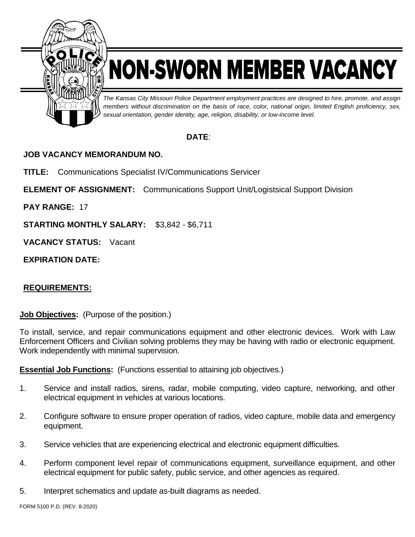

## NON-SWORN MEMBER VACANCY

*The Kansas City Missouri Police Department employment practices are designed to hire, promote, and assign members without discrimination on the basis of race, color, national origin, limited English proficiency, sex, sexual orientation, gender identity, age, religion, disability, or low-income level.*

## **DATE**:

## **JOB VACANCY MEMORANDUM NO.**

**TITLE:** Communications Specialist IV/Communications Servicer

**ELEMENT OF ASSIGNMENT:** Communications Support Unit/Logistsical Support Division

**PAY RANGE:** 17

**STARTING MONTHLY SALARY:** \$3,842 - \$6,711

**VACANCY STATUS:** Vacant

**EXPIRATION DATE:**

## **REQUIREMENTS:**

**Job Objectives:** (Purpose of the position.)

To install, service, and repair communications equipment and other electronic devices. Work with Law Enforcement Officers and Civilian solving problems they may be having with radio or electronic equipment. Work independently with minimal supervision.

**Essential Job Functions:** (Functions essential to attaining job objectives.)

- 1. Service and install radios, sirens, radar, mobile computing, video capture, networking, and other electrical equipment in vehicles at various locations.
- 2. Configure software to ensure proper operation of radios, video capture, mobile data and emergency equipment.
- 3. Service vehicles that are experiencing electrical and electronic equipment difficulties.
- 4. Perform component level repair of communications equipment, surveillance equipment, and other electrical equipment for public safety, public service, and other agencies as required.
- 5. Interpret schematics and update as-built diagrams as needed.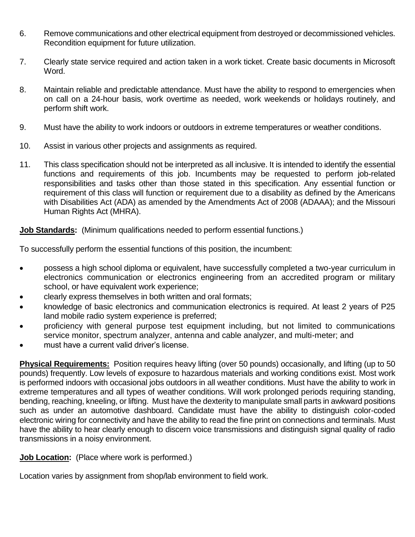- 6. Remove communications and other electrical equipment from destroyed or decommissioned vehicles. Recondition equipment for future utilization.
- 7. Clearly state service required and action taken in a work ticket. Create basic documents in Microsoft Word.
- 8. Maintain reliable and predictable attendance. Must have the ability to respond to emergencies when on call on a 24-hour basis, work overtime as needed, work weekends or holidays routinely, and perform shift work.
- 9. Must have the ability to work indoors or outdoors in extreme temperatures or weather conditions.
- 10. Assist in various other projects and assignments as required.
- 11. This class specification should not be interpreted as all inclusive. It is intended to identify the essential functions and requirements of this job. Incumbents may be requested to perform job-related responsibilities and tasks other than those stated in this specification. Any essential function or requirement of this class will function or requirement due to a disability as defined by the Americans with Disabilities Act (ADA) as amended by the Amendments Act of 2008 (ADAAA); and the Missouri Human Rights Act (MHRA).

**Job Standards:** (Minimum qualifications needed to perform essential functions.)

To successfully perform the essential functions of this position, the incumbent:

- possess a high school diploma or equivalent, have successfully completed a two-year curriculum in electronics communication or electronics engineering from an accredited program or military school, or have equivalent work experience;
- clearly express themselves in both written and oral formats;
- knowledge of basic electronics and communication electronics is required. At least 2 years of P25 land mobile radio system experience is preferred;
- proficiency with general purpose test equipment including, but not limited to communications service monitor, spectrum analyzer, antenna and cable analyzer, and multi-meter; and
- must have a current valid driver's license.

**Physical Requirements:** Position requires heavy lifting (over 50 pounds) occasionally, and lifting (up to 50 pounds) frequently. Low levels of exposure to hazardous materials and working conditions exist. Most work is performed indoors with occasional jobs outdoors in all weather conditions. Must have the ability to work in extreme temperatures and all types of weather conditions. Will work prolonged periods requiring standing, bending, reaching, kneeling, or lifting. Must have the dexterity to manipulate small parts in awkward positions such as under an automotive dashboard. Candidate must have the ability to distinguish color-coded electronic wiring for connectivity and have the ability to read the fine print on connections and terminals. Must have the ability to hear clearly enough to discern voice transmissions and distinguish signal quality of radio transmissions in a noisy environment.

**Job Location:** (Place where work is performed.)

Location varies by assignment from shop/lab environment to field work.